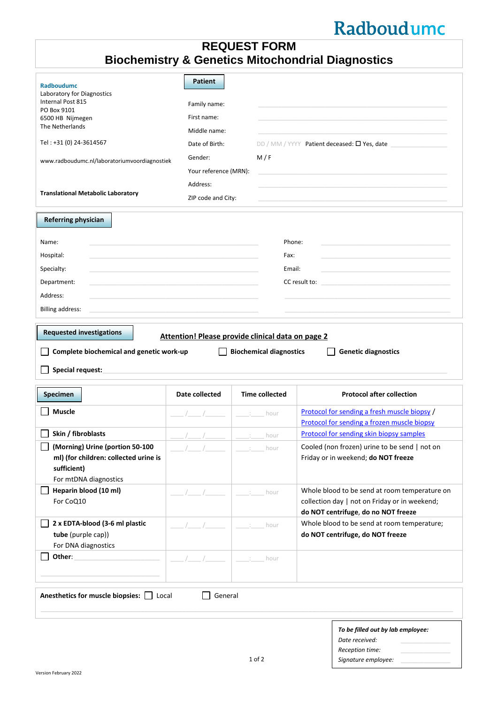## Radboudumc

## **REQUEST FORM Biochemistry & Genetics Mitochondrial Diagnostics**

| <b>Radboudumc</b>                                                                      | <b>Patient</b>        |                                |                                                                                      |
|----------------------------------------------------------------------------------------|-----------------------|--------------------------------|--------------------------------------------------------------------------------------|
| Laboratory for Diagnostics<br>Internal Post 815                                        |                       |                                |                                                                                      |
| PO Box 9101                                                                            | Family name:          |                                |                                                                                      |
| 6500 HB Nijmegen                                                                       | First name:           |                                |                                                                                      |
| The Netherlands                                                                        | Middle name:          |                                |                                                                                      |
| Tel: +31 (0) 24-3614567                                                                | Date of Birth:        |                                | DD / MM / YYYY Patient deceased: $\square$ Yes, date                                 |
| www.radboudumc.nl/laboratoriumvoordiagnostiek                                          | Gender:               | M/F                            |                                                                                      |
|                                                                                        | Your reference (MRN): |                                |                                                                                      |
|                                                                                        | Address:              |                                |                                                                                      |
| <b>Translational Metabolic Laboratory</b>                                              | ZIP code and City:    |                                |                                                                                      |
|                                                                                        |                       |                                |                                                                                      |
| <b>Referring physician</b>                                                             |                       |                                |                                                                                      |
| Name:                                                                                  |                       |                                | Phone:                                                                               |
| Hospital:                                                                              |                       | Fax:                           |                                                                                      |
| Specialty:                                                                             |                       |                                | Email:                                                                               |
| Department:                                                                            |                       |                                | CC result to:                                                                        |
| Address:                                                                               |                       |                                |                                                                                      |
|                                                                                        |                       |                                |                                                                                      |
| <b>Billing address:</b>                                                                |                       |                                |                                                                                      |
| Complete biochemical and genetic work-up<br>Special request:                           |                       | <b>Biochemical diagnostics</b> | <b>Genetic diagnostics</b>                                                           |
| <b>Specimen</b>                                                                        | Date collected        | <b>Time collected</b>          | <b>Protocol after collection</b>                                                     |
| <b>Muscle</b>                                                                          |                       | hour                           | Protocol for sending a fresh muscle biopsy /                                         |
|                                                                                        |                       |                                | Protocol for sending a frozen muscle biopsy                                          |
| Skin / fibroblasts                                                                     |                       | hour                           | <b>Protocol for sending skin biopsy samples</b>                                      |
| Morning) Urine (portion 50-100<br>ml) (for children: collected urine is<br>sufficient) |                       | hour                           | Cooled (non frozen) urine to be send   not on<br>Friday or in weekend; do NOT freeze |
| For mtDNA diagnostics                                                                  |                       |                                |                                                                                      |
| Heparin blood (10 ml)                                                                  |                       | hour                           | Whole blood to be send at room temperature on                                        |
| For CoQ10                                                                              |                       |                                | collection day   not on Friday or in weekend;<br>do NOT centrifuge, do no NOT freeze |
| 2 x EDTA-blood (3-6 ml plastic                                                         |                       | hour                           | Whole blood to be send at room temperature;                                          |
| tube (purple cap))                                                                     |                       |                                |                                                                                      |
| For DNA diagnostics                                                                    |                       |                                | do NOT centrifuge, do NOT freeze                                                     |
|                                                                                        |                       |                                |                                                                                      |
| Other:                                                                                 |                       | hour                           |                                                                                      |
|                                                                                        |                       |                                |                                                                                      |
| Anesthetics for muscle biopsies:  <br>Local                                            | General               |                                |                                                                                      |
|                                                                                        |                       |                                | To be filled out by lab employee:<br>Date received:                                  |
|                                                                                        |                       | $1$ of $2$                     | Reception time:<br>Signature employee:                                               |